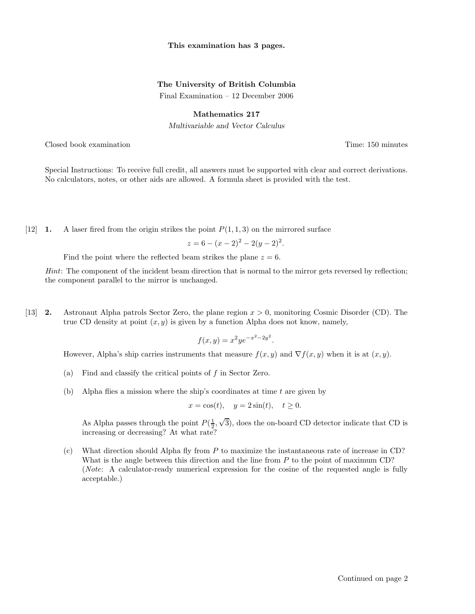### This examination has 3 pages.

## The University of British Columbia

Final Examination – 12 December 2006

### Mathematics 217

Multivariable and Vector Calculus

Closed book examination Time: 150 minutes

Special Instructions: To receive full credit, all answers must be supported with clear and correct derivations. No calculators, notes, or other aids are allowed. A formula sheet is provided with the test.

[12] **1.** A laser fired from the origin strikes the point  $P(1, 1, 3)$  on the mirrored surface

$$
z = 6 - (x - 2)^2 - 2(y - 2)^2.
$$

Find the point where the reflected beam strikes the plane  $z = 6$ .

Hint: The component of the incident beam direction that is normal to the mirror gets reversed by reflection; the component parallel to the mirror is unchanged.

[13] 2. Astronaut Alpha patrols Sector Zero, the plane region x > 0, monitoring Cosmic Disorder (CD). The true CD density at point  $(x, y)$  is given by a function Alpha does not know, namely,

$$
f(x, y) = x^2 y e^{-x^2 - 2y^2}.
$$

However, Alpha's ship carries instruments that measure  $f(x, y)$  and  $\nabla f(x, y)$  when it is at  $(x, y)$ .

- (a) Find and classify the critical points of  $f$  in Sector Zero.
- (b) Alpha flies a mission where the ship's coordinates at time  $t$  are given by

$$
x = \cos(t), \quad y = 2\sin(t), \quad t \ge 0.
$$

As Alpha passes through the point  $P(\frac{1}{2}, \sqrt{3})$ , does the on-board CD detector indicate that CD is increasing or decreasing? At what rate?

(c) What direction should Alpha fly from P to maximize the instantaneous rate of increase in CD? What is the angle between this direction and the line from  $P$  to the point of maximum CD? (Note: A calculator-ready numerical expression for the cosine of the requested angle is fully acceptable.)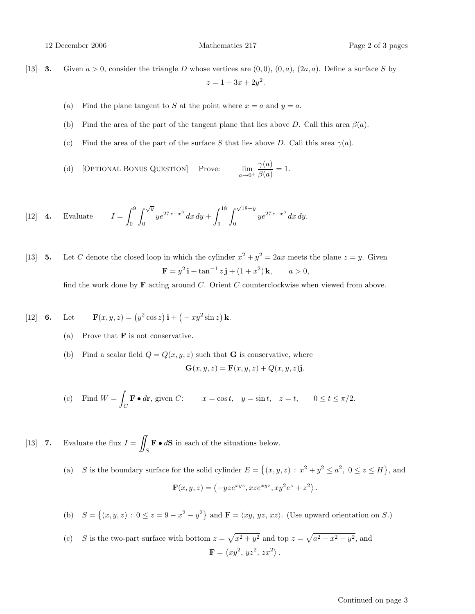12 December 2006 Mathematics 217 Page 2 of 3 pages

- [13] **3.** Given  $a > 0$ , consider the triangle D whose vertices are  $(0, 0)$ ,  $(0, a)$ ,  $(2a, a)$ . Define a surface S by  $z = 1 + 3x + 2y^2$ .
	- (a) Find the plane tangent to S at the point where  $x = a$  and  $y = a$ .
	- (b) Find the area of the part of the tangent plane that lies above D. Call this area  $\beta(a)$ .
	- (c) Find the area of the part of the surface S that lies above D. Call this area  $\gamma(a)$ .
	- (d) [OPTIONAL BONUS QUESTION] Prove:  $a\rightarrow 0^+$  $\gamma(a)$  $\frac{f(a)}{\beta(a)} = 1.$

[12] **4.** Evaluate 
$$
I = \int_0^9 \int_0^{\sqrt{y}} y e^{27x - x^3} dx dy + \int_9^{18} \int_0^{\sqrt{18 - y}} y e^{27x - x^3} dx dy.
$$

[13] **5.** Let C denote the closed loop in which the cylinder  $x^2 + y^2 = 2ax$  meets the plane  $z = y$ . Given  $\mathbf{F} = y^2 \mathbf{i} + \tan^{-1} z \mathbf{j} + (1 + x^2) \mathbf{k}, \quad a > 0,$ 

find the work done by  $\bf{F}$  acting around C. Orient C counterclockwise when viewed from above.

[12] **6.** Let 
$$
\mathbf{F}(x, y, z) = (y^2 \cos z) \mathbf{i} + (-xy^2 \sin z) \mathbf{k}
$$
.

- (a) Prove that  $\bf{F}$  is not conservative.
- (b) Find a scalar field  $Q = Q(x, y, z)$  such that **G** is conservative, where

$$
\mathbf{G}(x, y, z) = \mathbf{F}(x, y, z) + Q(x, y, z)\mathbf{j}.
$$

(c) Find  $W =$ Z  $\mathbf{F} \bullet d\mathbf{r}$ , given C:  $x = \cos t$ ,  $y = \sin t$ ,  $z = t$ ,  $0 \le t \le \pi/2$ .

[13] 7. Evaluate the flux  $I =$  $\int_S \mathbf{F} \bullet d\mathbf{S}$  in each of the situations below.

> (a) S is the boundary surface for the solid cylinder  $E = \{(x, y, z) : x^2 + y^2 \le a^2, 0 \le z \le H\}$ , and  $\mathbf{F}(x, y, z) = \langle -yz e^{xyz}, xze^{xyz}, xy^2 e^z + z^2 \rangle.$

(b)  $S = \{(x, y, z) : 0 \le z = 9 - x^2 - y^2\}$  and  $\mathbf{F} = \langle xy, yz, xz \rangle$ . (Use upward orientation on S.)

(c) *S* is the two-part surface with bottom 
$$
z = \sqrt{x^2 + y^2}
$$
 and top  $z = \sqrt{a^2 - x^2 - y^2}$ , and  
\n
$$
\mathbf{F} = \langle xy^2, yz^2, zx^2 \rangle.
$$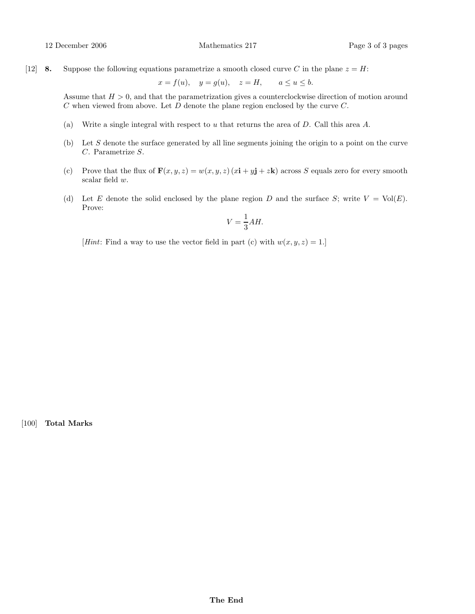#### 12 December 2006 Mathematics 217 Page 3 of 3 pages

[12] **8.** Suppose the following equations parametrize a smooth closed curve C in the plane  $z = H$ :

$$
x = f(u), \quad y = g(u), \quad z = H, \qquad a \le u \le b.
$$

Assume that  $H > 0$ , and that the parametrization gives a counterclockwise direction of motion around  $C$  when viewed from above. Let  $D$  denote the plane region enclosed by the curve  $C$ .

- (a) Write a single integral with respect to u that returns the area of  $D$ . Call this area  $A$ .
- (b) Let S denote the surface generated by all line segments joining the origin to a point on the curve C. Parametrize S.
- (c) Prove that the flux of  $\mathbf{F}(x, y, z) = w(x, y, z)(x\mathbf{i} + y\mathbf{j} + z\mathbf{k})$  across S equals zero for every smooth scalar field w.
- (d) Let E denote the solid enclosed by the plane region D and the surface S; write  $V = Vol(E)$ . Prove:

$$
V = \frac{1}{3}AH.
$$

[*Hint*: Find a way to use the vector field in part (c) with  $w(x, y, z) = 1$ .]

[100] Total Marks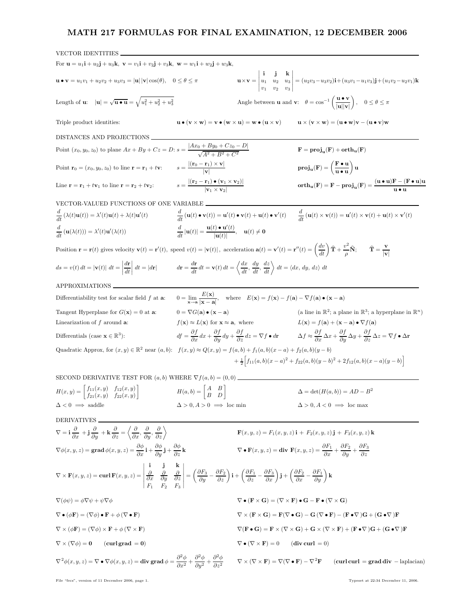# MATH 217 FORMULAS FOR FINAL EXAMINATION, 12 DECEMBER 2006

| <b>VECTOR IDENTITIES</b>                                                                                                                                                                                                                                                                                                                                                                                                                                                                                                                                |                                                                                                                                                                                                               |                                                                                                                                                                                                                  |                                                                                                                |                                                                                                                                                                                                                                                                                                                                    |  |
|---------------------------------------------------------------------------------------------------------------------------------------------------------------------------------------------------------------------------------------------------------------------------------------------------------------------------------------------------------------------------------------------------------------------------------------------------------------------------------------------------------------------------------------------------------|---------------------------------------------------------------------------------------------------------------------------------------------------------------------------------------------------------------|------------------------------------------------------------------------------------------------------------------------------------------------------------------------------------------------------------------|----------------------------------------------------------------------------------------------------------------|------------------------------------------------------------------------------------------------------------------------------------------------------------------------------------------------------------------------------------------------------------------------------------------------------------------------------------|--|
| For ${\bf u} = u_1{\bf i} + u_2{\bf j} + u_3{\bf k}$ , ${\bf v} = v_1{\bf i} + v_2{\bf j} + v_3{\bf k}$ , ${\bf w} = w_1{\bf i} + w_2{\bf j} + w_3{\bf k}$ ,                                                                                                                                                                                                                                                                                                                                                                                            |                                                                                                                                                                                                               |                                                                                                                                                                                                                  |                                                                                                                |                                                                                                                                                                                                                                                                                                                                    |  |
| $\mathbf{u} \bullet \mathbf{v} = u_1 v_1 + u_2 v_2 + u_3 v_3 =  \mathbf{u}   \mathbf{v}  \cos(\theta), \quad 0 \le \theta \le \pi$                                                                                                                                                                                                                                                                                                                                                                                                                      |                                                                                                                                                                                                               |                                                                                                                                                                                                                  |                                                                                                                | $\mathbf{u} \times \mathbf{v} = \begin{vmatrix} \mathbf{i} & \mathbf{j} & \mathbf{k} \\ u_1 & u_2 & u_3 \\ v_1 & v_2 & v_3 \end{vmatrix} = (u_2v_3 - u_3v_2)\mathbf{i} + (u_3v_1 - u_1v_3)\mathbf{j} + (u_1v_2 - u_2v_1)\mathbf{k}$                                                                                                |  |
| Length of <b>u</b> : $ \mathbf{u}  = \sqrt{\mathbf{u} \cdot \mathbf{u}} = \sqrt{u_1^2 + u_2^2 + u_3^2}$                                                                                                                                                                                                                                                                                                                                                                                                                                                 |                                                                                                                                                                                                               | Angle between <b>u</b> and <b>v</b> : $\theta = \cos^{-1}\left(\frac{\mathbf{u} \cdot \mathbf{v}}{ \mathbf{u}  \mathbf{v} }\right), \quad 0 \le \theta \le \pi$                                                  |                                                                                                                |                                                                                                                                                                                                                                                                                                                                    |  |
| Triple product identities:                                                                                                                                                                                                                                                                                                                                                                                                                                                                                                                              | $\mathbf{u} \bullet (\mathbf{v} \times \mathbf{w}) = \mathbf{v} \bullet (\mathbf{w} \times \mathbf{u}) = \mathbf{w} \bullet (\mathbf{u} \times \mathbf{v})$                                                   |                                                                                                                                                                                                                  |                                                                                                                | $\mathbf{u} \times (\mathbf{v} \times \mathbf{w}) = (\mathbf{u} \cdot \mathbf{w})\mathbf{v} - (\mathbf{u} \cdot \mathbf{v})\mathbf{w}$                                                                                                                                                                                             |  |
| DISTANCES AND PROJECTIONS                                                                                                                                                                                                                                                                                                                                                                                                                                                                                                                               |                                                                                                                                                                                                               |                                                                                                                                                                                                                  |                                                                                                                |                                                                                                                                                                                                                                                                                                                                    |  |
| Point $(x_0, y_0, z_0)$ to plane $Ax + By + Cz = D$ : $s = \frac{ Ax_0 + By_0 + Cz_0 - D }{\sqrt{A^2 + B^2 + C^2}}$                                                                                                                                                                                                                                                                                                                                                                                                                                     |                                                                                                                                                                                                               |                                                                                                                                                                                                                  | $\mathbf{F} = \mathbf{proj}_{\mathbf{u}}(\mathbf{F}) + \mathbf{orth}_{\mathbf{u}}(\mathbf{F})$                 |                                                                                                                                                                                                                                                                                                                                    |  |
| Point $\mathbf{r}_0 = (x_0, y_0, z_0)$ to line $\mathbf{r} = \mathbf{r}_1 + t\mathbf{v}$ :                                                                                                                                                                                                                                                                                                                                                                                                                                                              | $s = \frac{ (\mathbf{r}_0 - \mathbf{r}_1) \times \mathbf{v} }{ \mathbf{v} }$                                                                                                                                  |                                                                                                                                                                                                                  | $proj_u(\mathbf{F}) = \left(\frac{\mathbf{F} \cdot \mathbf{u}}{\mathbf{u} \cdot \mathbf{u}}\right) \mathbf{u}$ |                                                                                                                                                                                                                                                                                                                                    |  |
| Line $\mathbf{r} = \mathbf{r}_1 + t\mathbf{v}_1$ to line $\mathbf{r} = \mathbf{r}_2 + t\mathbf{v}_2$ :                                                                                                                                                                                                                                                                                                                                                                                                                                                  | $s = \frac{\left  (\mathbf{r}_2 - \mathbf{r}_1) \bullet (\mathbf{v}_1 \times \mathbf{v}_2) \right }{\left  \mathbf{v}_1 \times \mathbf{v}_2 \right }$                                                         |                                                                                                                                                                                                                  |                                                                                                                | $\operatorname{orth}_{\mathbf{u}}(\mathbf{F}) = \mathbf{F} - \operatorname{proj}_{\mathbf{u}}(\mathbf{F}) = \frac{(\mathbf{u} \bullet \mathbf{u})\mathbf{F} - (\mathbf{F} \bullet \mathbf{u})\mathbf{u}}{\mathbf{u} \bullet \mathbf{u}}$                                                                                           |  |
| VECTOR-VALUED FUNCTIONS OF ONE VARIABLE                                                                                                                                                                                                                                                                                                                                                                                                                                                                                                                 |                                                                                                                                                                                                               |                                                                                                                                                                                                                  |                                                                                                                |                                                                                                                                                                                                                                                                                                                                    |  |
| $\frac{d}{dt}(\lambda(t)\mathbf{u}(t)) = \lambda'(t)\mathbf{u}(t) + \lambda(t)\mathbf{u}'(t)$                                                                                                                                                                                                                                                                                                                                                                                                                                                           |                                                                                                                                                                                                               |                                                                                                                                                                                                                  |                                                                                                                | $\frac{d}{dt}(\mathbf{u}(t)\bullet\mathbf{v}(t))=\mathbf{u}'(t)\bullet\mathbf{v}(t)+\mathbf{u}(t)\bullet\mathbf{v}'(t) \qquad \frac{d}{dt}(\mathbf{u}(t)\times\mathbf{v}(t))=\mathbf{u}'(t)\times\mathbf{v}(t)+\mathbf{u}(t)\times\mathbf{v}'(t)$                                                                                  |  |
| $\frac{d}{dt}(\mathbf{u}(\lambda(t))) = \lambda'(t)\mathbf{u}'(\lambda(t))$                                                                                                                                                                                                                                                                                                                                                                                                                                                                             | $\frac{d}{dt} \mathbf{u}(t)  = \frac{\mathbf{u}(t) \bullet \mathbf{u}'(t)}{ \mathbf{u}(t) }, \quad \mathbf{u}(t) \neq \mathbf{0}$                                                                             |                                                                                                                                                                                                                  |                                                                                                                |                                                                                                                                                                                                                                                                                                                                    |  |
| Position $\mathbf{r} = \mathbf{r}(t)$ gives velocity $\mathbf{v}(t) = \mathbf{r}'(t)$ , speed $v(t) =  \mathbf{v}(t) $ , acceleration $\mathbf{a}(t) = \mathbf{v}'(t) = \mathbf{r}''(t) = \left(\frac{dv}{dt}\right)\hat{\mathbf{T}} + \frac{v^2}{\rho}\hat{\mathbf{N}}$ ; $\hat{\mathbf{T}} = \frac{\mathbf{v}'}{ \mathbf{v} }$                                                                                                                                                                                                                        |                                                                                                                                                                                                               |                                                                                                                                                                                                                  |                                                                                                                |                                                                                                                                                                                                                                                                                                                                    |  |
| $ds = v(t) dt =  \mathbf{v}(t)  dt = \left  \frac{d\mathbf{r}}{dt} \right  dt =  d\mathbf{r}  \qquad dr = \frac{d\mathbf{r}}{dt} dt = \mathbf{v}(t) dt = \left\langle \frac{dx}{dt}, \frac{dy}{dt}, \frac{dz}{dt} \right\rangle dt = \left\langle dx, dy, dz \right\rangle dt$                                                                                                                                                                                                                                                                          |                                                                                                                                                                                                               |                                                                                                                                                                                                                  |                                                                                                                |                                                                                                                                                                                                                                                                                                                                    |  |
| APPROXIMATIONS                                                                                                                                                                                                                                                                                                                                                                                                                                                                                                                                          |                                                                                                                                                                                                               |                                                                                                                                                                                                                  |                                                                                                                |                                                                                                                                                                                                                                                                                                                                    |  |
| Differentiability test for scalar field $f$ at $a$ .                                                                                                                                                                                                                                                                                                                                                                                                                                                                                                    | $0 = \lim_{\mathbf{x} \to \mathbf{a}} \frac{E(\mathbf{x})}{ \mathbf{x} - \mathbf{a} }, \text{ where } E(\mathbf{x}) = f(\mathbf{x}) - f(\mathbf{a}) - \nabla f(\mathbf{a}) \bullet (\mathbf{x} - \mathbf{a})$ |                                                                                                                                                                                                                  |                                                                                                                |                                                                                                                                                                                                                                                                                                                                    |  |
| Tangent Hyperplane for $G(\mathbf{x}) = 0$ at <b>a</b> :                                                                                                                                                                                                                                                                                                                                                                                                                                                                                                | $0 = \nabla G(\mathbf{a}) \bullet (\mathbf{x} - \mathbf{a})$                                                                                                                                                  |                                                                                                                                                                                                                  |                                                                                                                | (a line in $\mathbb{R}^2$ ; a plane in $\mathbb{R}^3$ ; a hyperplane in $\mathbb{R}^n$ )                                                                                                                                                                                                                                           |  |
| Linearization of $f$ around $a$ :                                                                                                                                                                                                                                                                                                                                                                                                                                                                                                                       | $f(\mathbf{x}) \approx L(\mathbf{x})$ for $\mathbf{x} \approx \mathbf{a}$ , where                                                                                                                             |                                                                                                                                                                                                                  |                                                                                                                | $L(\mathbf{x}) = f(\mathbf{a}) + (\mathbf{x} - \mathbf{a}) \bullet \nabla f(\mathbf{a})$                                                                                                                                                                                                                                           |  |
| Differentials (case $\mathbf{x} \in \mathbb{R}^3$ ):                                                                                                                                                                                                                                                                                                                                                                                                                                                                                                    |                                                                                                                                                                                                               |                                                                                                                                                                                                                  |                                                                                                                | $df = \frac{\partial f}{\partial x} dx + \frac{\partial f}{\partial y} dy + \frac{\partial f}{\partial z} dz = \nabla f \bullet d\mathbf{r} \qquad \Delta f \approx \frac{\partial f}{\partial x} \Delta x + \frac{\partial f}{\partial y} \Delta y + \frac{\partial f}{\partial z} \Delta z = \nabla f \bullet \Delta \mathbf{r}$ |  |
| Quadratic Approx, for $(x, y) \in \mathbb{R}^2$ near $(a, b)$ : $f(x, y) \approx Q(x, y) = f(a, b) + f_1(a, b)(x - a) + f_2(a, b)(y - b)$                                                                                                                                                                                                                                                                                                                                                                                                               |                                                                                                                                                                                                               |                                                                                                                                                                                                                  |                                                                                                                |                                                                                                                                                                                                                                                                                                                                    |  |
| $+\frac{1}{2}\Big[f_{11}(a,b)(x-a)^2+f_{22}(a,b)(y-b)^2+2f_{12}(a,b)(x-a)(y-b)\Big]$                                                                                                                                                                                                                                                                                                                                                                                                                                                                    |                                                                                                                                                                                                               |                                                                                                                                                                                                                  |                                                                                                                |                                                                                                                                                                                                                                                                                                                                    |  |
| SECOND DERIVATIVE TEST FOR $(a, b)$ WHERE $\nabla f(a, b) = (0, 0)$                                                                                                                                                                                                                                                                                                                                                                                                                                                                                     |                                                                                                                                                                                                               |                                                                                                                                                                                                                  |                                                                                                                |                                                                                                                                                                                                                                                                                                                                    |  |
| $H(x,y) = \begin{bmatrix} f_{11}(x,y) & f_{12}(x,y) \\ f_{21}(x,y) & f_{22}(x,y) \end{bmatrix}$ $H(a,b) = \begin{bmatrix} A & B \\ B & D \end{bmatrix}$                                                                                                                                                                                                                                                                                                                                                                                                 |                                                                                                                                                                                                               |                                                                                                                                                                                                                  |                                                                                                                | $\Delta = \det(H(a, b)) = AD - B^2$                                                                                                                                                                                                                                                                                                |  |
| $\Delta$ < 0 $\implies$ saddle                                                                                                                                                                                                                                                                                                                                                                                                                                                                                                                          | $\Delta > 0, A > 0 \implies$ loc min                                                                                                                                                                          |                                                                                                                                                                                                                  |                                                                                                                | $\Delta > 0, A < 0 \implies \text{loc max}$                                                                                                                                                                                                                                                                                        |  |
| <b>DERIVATIVES</b>                                                                                                                                                                                                                                                                                                                                                                                                                                                                                                                                      |                                                                                                                                                                                                               |                                                                                                                                                                                                                  |                                                                                                                |                                                                                                                                                                                                                                                                                                                                    |  |
| $\nabla = \mathbf{i}\frac{\partial}{\partial x} + \mathbf{j}\frac{\partial}{\partial y} + \mathbf{k}\frac{\partial}{\partial z} = \left\langle \frac{\partial}{\partial x}, \frac{\partial}{\partial y}, \frac{\partial}{\partial z} \right\rangle$                                                                                                                                                                                                                                                                                                     |                                                                                                                                                                                                               | $\mathbf{F}(x, y, z) = F_1(x, y, z) \mathbf{i} + F_2(x, y, z) \mathbf{j} + F_3(x, y, z) \mathbf{k}$                                                                                                              |                                                                                                                |                                                                                                                                                                                                                                                                                                                                    |  |
| $\nabla \phi(x, y, z) = \mathbf{grad} \, \phi(x, y, z) = \frac{\partial \phi}{\partial x} \mathbf{i} + \frac{\partial \phi}{\partial y} \mathbf{j} + \frac{\partial \phi}{\partial z} \mathbf{k}$                                                                                                                                                                                                                                                                                                                                                       |                                                                                                                                                                                                               | $\nabla \bullet \mathbf{F}(x, y, z) = \textbf{div } \mathbf{F}(x, y, z) = \frac{\partial F_1}{\partial x} + \frac{\partial F_2}{\partial y} + \frac{\partial F_3}{\partial z}$                                   |                                                                                                                |                                                                                                                                                                                                                                                                                                                                    |  |
| $\nabla \times \mathbf{F}(x, y, z) = \mathbf{curl} \, \mathbf{F}(x, y, z) = \begin{vmatrix} \mathbf{i} & \mathbf{j} & \mathbf{k} \\ \frac{\partial}{\partial x} & \frac{\partial}{\partial y} & \frac{\partial}{\partial z} \\ E_x & E_y & E_z \end{vmatrix} = \left( \frac{\partial F_3}{\partial y} - \frac{\partial F_2}{\partial z} \right) \mathbf{i} + \left( \frac{\partial F_1}{\partial z} - \frac{\partial F_3}{\partial x} \right) \mathbf{j} + \left( \frac{\partial F_2}{\partial x} - \frac{\partial F_1}{\partial y} \right) \mathbf{k}$ |                                                                                                                                                                                                               |                                                                                                                                                                                                                  |                                                                                                                |                                                                                                                                                                                                                                                                                                                                    |  |
| $\nabla(\phi\psi) = \phi\nabla\psi + \psi\nabla\phi$                                                                                                                                                                                                                                                                                                                                                                                                                                                                                                    |                                                                                                                                                                                                               | $\nabla \bullet (\mathbf{F} \times \mathbf{G}) = (\nabla \times \mathbf{F}) \bullet \mathbf{G} - \mathbf{F} \bullet (\nabla \times \mathbf{G})$                                                                  |                                                                                                                |                                                                                                                                                                                                                                                                                                                                    |  |
| $\nabla \bullet (\phi \mathbf{F}) = (\nabla \phi) \bullet \mathbf{F} + \phi (\nabla \bullet \mathbf{F})$                                                                                                                                                                                                                                                                                                                                                                                                                                                |                                                                                                                                                                                                               | $\nabla \times (\mathbf{F} \times \mathbf{G}) = \mathbf{F}(\nabla \bullet \mathbf{G}) - \mathbf{G}(\nabla \bullet \mathbf{F}) - (\mathbf{F} \bullet \nabla) \mathbf{G} + (\mathbf{G} \bullet \nabla) \mathbf{F}$ |                                                                                                                |                                                                                                                                                                                                                                                                                                                                    |  |
| $\nabla \times (\phi \mathbf{F}) = (\nabla \phi) \times \mathbf{F} + \phi (\nabla \times \mathbf{F})$                                                                                                                                                                                                                                                                                                                                                                                                                                                   |                                                                                                                                                                                                               |                                                                                                                                                                                                                  |                                                                                                                | $\nabla(\mathbf{F}\bullet\mathbf{G})=\mathbf{F}\times(\nabla\times\mathbf{G})+\mathbf{G}\times(\nabla\times\mathbf{F})+(\mathbf{F}\bullet\nabla)\mathbf{G}+(\mathbf{G}\bullet\nabla)\mathbf{F}$                                                                                                                                    |  |
| $\nabla \times (\nabla \phi) = 0$<br>$(curlgrad = 0)$                                                                                                                                                                                                                                                                                                                                                                                                                                                                                                   |                                                                                                                                                                                                               | $\nabla \bullet (\nabla \times \mathbf{F}) = 0$                                                                                                                                                                  | (div curl $= 0$ )                                                                                              |                                                                                                                                                                                                                                                                                                                                    |  |
| $\nabla^2 \phi(x,y,z) = \nabla \bullet \nabla \phi(x,y,z) = \text{div grad } \phi = \frac{\partial^2 \phi}{\partial x^2} + \frac{\partial^2 \phi}{\partial y^2} + \frac{\partial^2 \phi}{\partial z^2} \qquad \nabla \times (\nabla \times \mathbf{F}) = \nabla (\nabla \bullet \mathbf{F}) - \nabla^2 \mathbf{F}$                                                                                                                                                                                                                                      |                                                                                                                                                                                                               |                                                                                                                                                                                                                  |                                                                                                                | $(\text{curl curl} = \text{grad div} - \text{laplacian})$                                                                                                                                                                                                                                                                          |  |